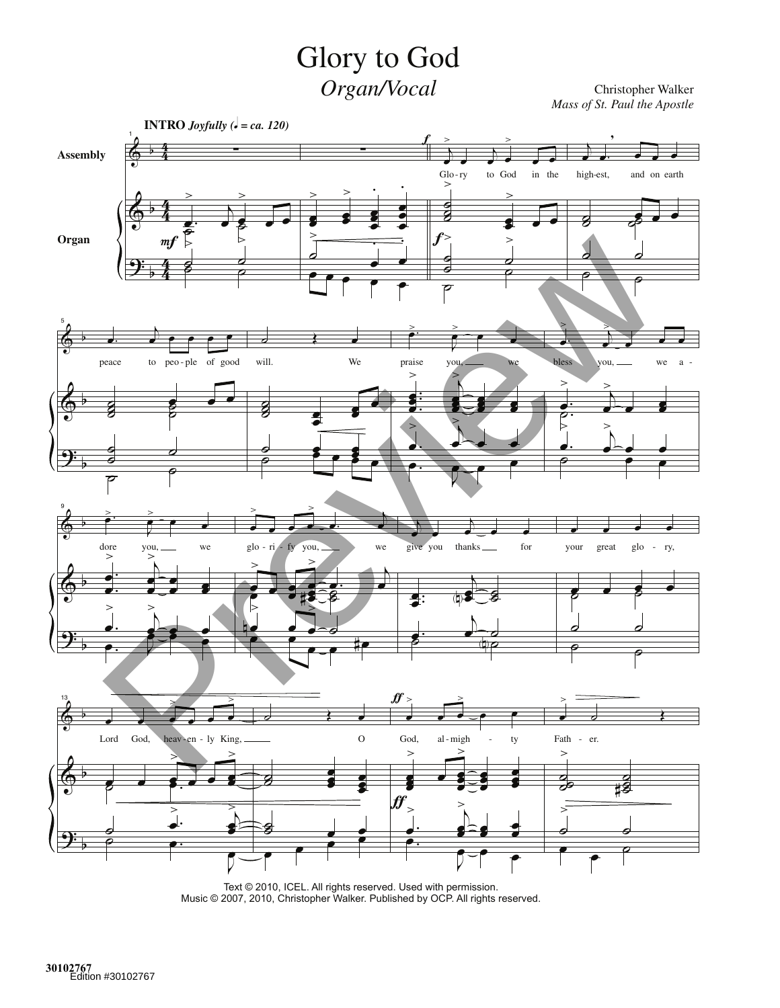## Glory to God Organ/Vocal

Christopher Walker<br>Mass of St. Paul the Apostle



Text © 2010, ICEL. All rights reserved. Used with permission. Music @ 2007, 2010, Christopher Walker. Published by OCP. All rights reserved.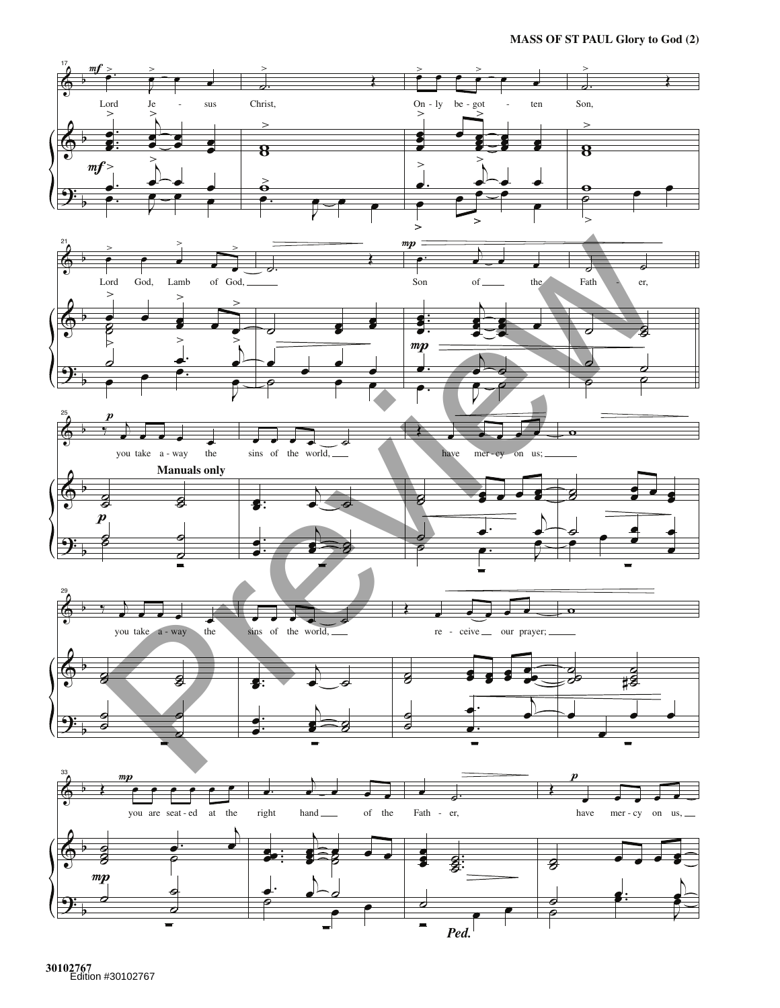**MASS OF ST PAUL Glory to God (2)** 



30102767<br>Edition #30102767